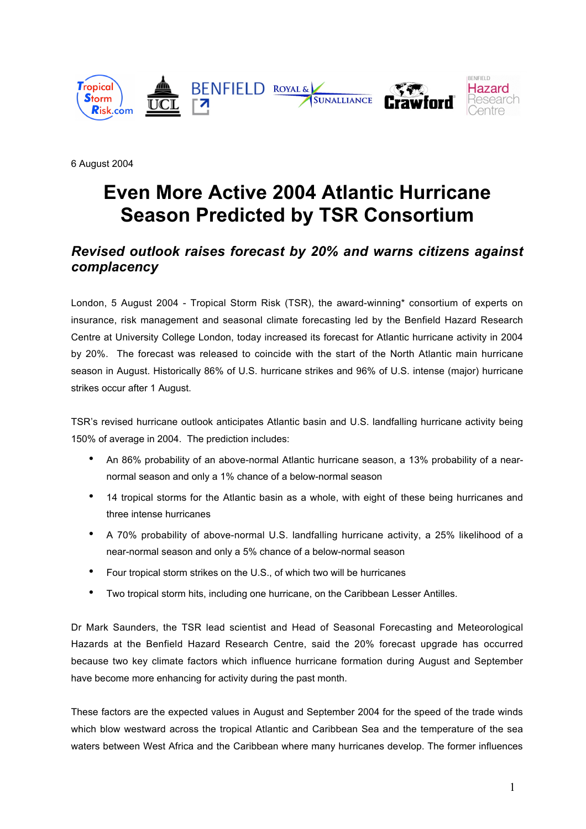

6 August 2004

# **Even More Active 2004 Atlantic Hurricane Season Predicted by TSR Consortium**

## *Revised outlook raises forecast by 20% and warns citizens against complacency*

London, 5 August 2004 - Tropical Storm Risk (TSR), the award-winning\* consortium of experts on insurance, risk management and seasonal climate forecasting led by the Benfield Hazard Research Centre at University College London, today increased its forecast for Atlantic hurricane activity in 2004 by 20%. The forecast was released to coincide with the start of the North Atlantic main hurricane season in August. Historically 86% of U.S. hurricane strikes and 96% of U.S. intense (major) hurricane strikes occur after 1 August.

TSR's revised hurricane outlook anticipates Atlantic basin and U.S. landfalling hurricane activity being 150% of average in 2004. The prediction includes:

- An 86% probability of an above-normal Atlantic hurricane season, a 13% probability of a nearnormal season and only a 1% chance of a below-normal season
- 14 tropical storms for the Atlantic basin as a whole, with eight of these being hurricanes and three intense hurricanes
- A 70% probability of above-normal U.S. landfalling hurricane activity, a 25% likelihood of a near-normal season and only a 5% chance of a below-normal season
- Four tropical storm strikes on the U.S., of which two will be hurricanes
- Two tropical storm hits, including one hurricane, on the Caribbean Lesser Antilles.

Dr Mark Saunders, the TSR lead scientist and Head of Seasonal Forecasting and Meteorological Hazards at the Benfield Hazard Research Centre, said the 20% forecast upgrade has occurred because two key climate factors which influence hurricane formation during August and September have become more enhancing for activity during the past month.

These factors are the expected values in August and September 2004 for the speed of the trade winds which blow westward across the tropical Atlantic and Caribbean Sea and the temperature of the sea waters between West Africa and the Caribbean where many hurricanes develop. The former influences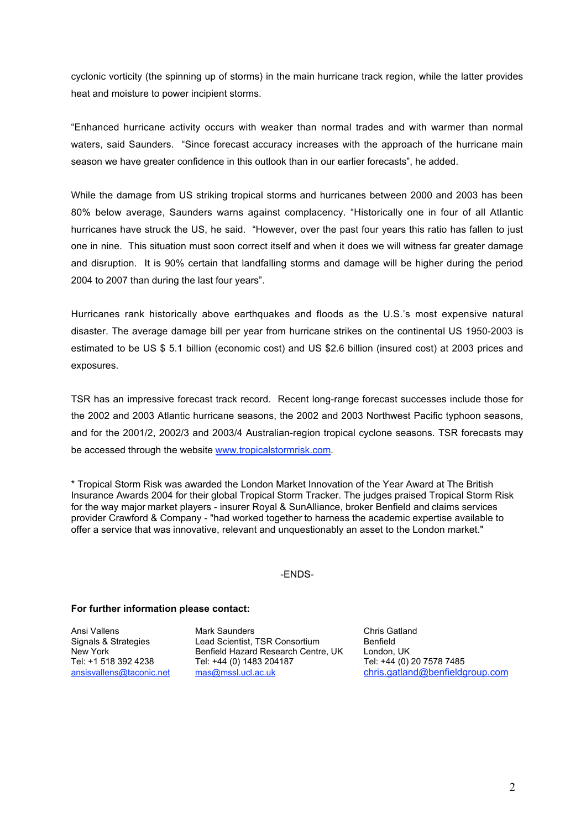cyclonic vorticity (the spinning up of storms) in the main hurricane track region, while the latter provides heat and moisture to power incipient storms.

"Enhanced hurricane activity occurs with weaker than normal trades and with warmer than normal waters, said Saunders. "Since forecast accuracy increases with the approach of the hurricane main season we have greater confidence in this outlook than in our earlier forecasts", he added.

While the damage from US striking tropical storms and hurricanes between 2000 and 2003 has been 80% below average, Saunders warns against complacency. "Historically one in four of all Atlantic hurricanes have struck the US, he said. "However, over the past four years this ratio has fallen to just one in nine. This situation must soon correct itself and when it does we will witness far greater damage and disruption. It is 90% certain that landfalling storms and damage will be higher during the period 2004 to 2007 than during the last four years".

Hurricanes rank historically above earthquakes and floods as the U.S.'s most expensive natural disaster. The average damage bill per year from hurricane strikes on the continental US 1950-2003 is estimated to be US \$ 5.1 billion (economic cost) and US \$2.6 billion (insured cost) at 2003 prices and exposures.

TSR has an impressive forecast track record. Recent long-range forecast successes include those for the 2002 and 2003 Atlantic hurricane seasons, the 2002 and 2003 Northwest Pacific typhoon seasons, and for the 2001/2, 2002/3 and 2003/4 Australian-region tropical cyclone seasons. TSR forecasts may be accessed through the website www.tropicalstormrisk.com.

\* Tropical Storm Risk was awarded the London Market Innovation of the Year Award at The British Insurance Awards 2004 for their global Tropical Storm Tracker. The judges praised Tropical Storm Risk for the way major market players - insurer Royal & SunAlliance, broker Benfield and claims services provider Crawford & Company - "had worked together to harness the academic expertise available to offer a service that was innovative, relevant and unquestionably an asset to the London market."

#### -ENDS-

#### **For further information please contact:**

Ansi Vallens **Mark Saunders** Chris Gatland<br>
Signals & Strategies Lead Scientist, TSR Consortium Benfield Lead Scientist, TSR Consortium Benfield<br>Benfield Hazard Research Centre, UK London. UK New York **Benfield Hazard Research Centre, UK** London, UK<br>Tel: +1 518 392 4238 Tel: +44 (0) 1483 204187 Tel: +44 (0) 20 7578 7485 Tel: +44 (0) 1483 204187 ansisvallens@taconic.net mas@mssl.ucl.ac.uk chris.gatland@benfieldgroup.com